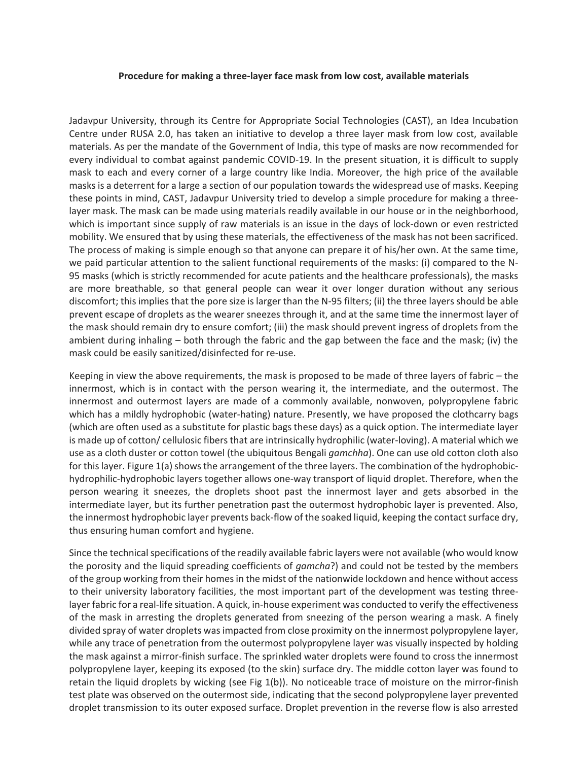## **Procedure for making a three-layer face mask from low cost, available materials**

Jadavpur University, through its Centre for Appropriate Social Technologies (CAST), an Idea Incubation Centre under RUSA 2.0, has taken an initiative to develop a three layer mask from low cost, available materials. As per the mandate of the Government of India, this type of masks are now recommended for every individual to combat against pandemic COVID-19. In the present situation, it is difficult to supply mask to each and every corner of a large country like India. Moreover, the high price of the available masks is a deterrent for a large a section of our population towards the widespread use of masks. Keeping these points in mind, CAST, Jadavpur University tried to develop a simple procedure for making a threelayer mask. The mask can be made using materials readily available in our house or in the neighborhood, which is important since supply of raw materials is an issue in the days of lock-down or even restricted mobility. We ensured that by using these materials, the effectiveness of the mask has not been sacrificed. The process of making is simple enough so that anyone can prepare it of his/her own. At the same time, we paid particular attention to the salient functional requirements of the masks: (i) compared to the N-95 masks (which is strictly recommended for acute patients and the healthcare professionals), the masks are more breathable, so that general people can wear it over longer duration without any serious discomfort; this implies that the pore size is larger than the N-95 filters; (ii) the three layers should be able prevent escape of droplets as the wearer sneezes through it, and at the same time the innermost layer of the mask should remain dry to ensure comfort; (iii) the mask should prevent ingress of droplets from the ambient during inhaling – both through the fabric and the gap between the face and the mask; (iv) the mask could be easily sanitized/disinfected for re-use.

Keeping in view the above requirements, the mask is proposed to be made of three layers of fabric – the innermost, which is in contact with the person wearing it, the intermediate, and the outermost. The innermost and outermost layers are made of a commonly available, nonwoven, polypropylene fabric which has a mildly hydrophobic (water-hating) nature. Presently, we have proposed the clothcarry bags (which are often used as a substitute for plastic bags these days) as a quick option. The intermediate layer is made up of cotton/ cellulosic fibers that are intrinsically hydrophilic (water-loving). A material which we use as a cloth duster or cotton towel (the ubiquitous Bengali *gamchha*). One can use old cotton cloth also for this layer. Figure 1(a) shows the arrangement of the three layers. The combination of the hydrophobichydrophilic-hydrophobic layers together allows one-way transport of liquid droplet. Therefore, when the person wearing it sneezes, the droplets shoot past the innermost layer and gets absorbed in the intermediate layer, but its further penetration past the outermost hydrophobic layer is prevented. Also, the innermost hydrophobic layer prevents back-flow of the soaked liquid, keeping the contact surface dry, thus ensuring human comfort and hygiene.

Since the technical specifications of the readily available fabric layers were not available (who would know the porosity and the liquid spreading coefficients of *gamcha*?) and could not be tested by the members of the group working from their homes in the midst of the nationwide lockdown and hence without access to their university laboratory facilities, the most important part of the development was testing threelayer fabric for a real-life situation. A quick, in-house experiment was conducted to verify the effectiveness of the mask in arresting the droplets generated from sneezing of the person wearing a mask. A finely divided spray of water droplets was impacted from close proximity on the innermost polypropylene layer, while any trace of penetration from the outermost polypropylene layer was visually inspected by holding the mask against a mirror-finish surface. The sprinkled water droplets were found to cross the innermost polypropylene layer, keeping its exposed (to the skin) surface dry. The middle cotton layer was found to retain the liquid droplets by wicking (see Fig 1(b)). No noticeable trace of moisture on the mirror-finish test plate was observed on the outermost side, indicating that the second polypropylene layer prevented droplet transmission to its outer exposed surface. Droplet prevention in the reverse flow is also arrested